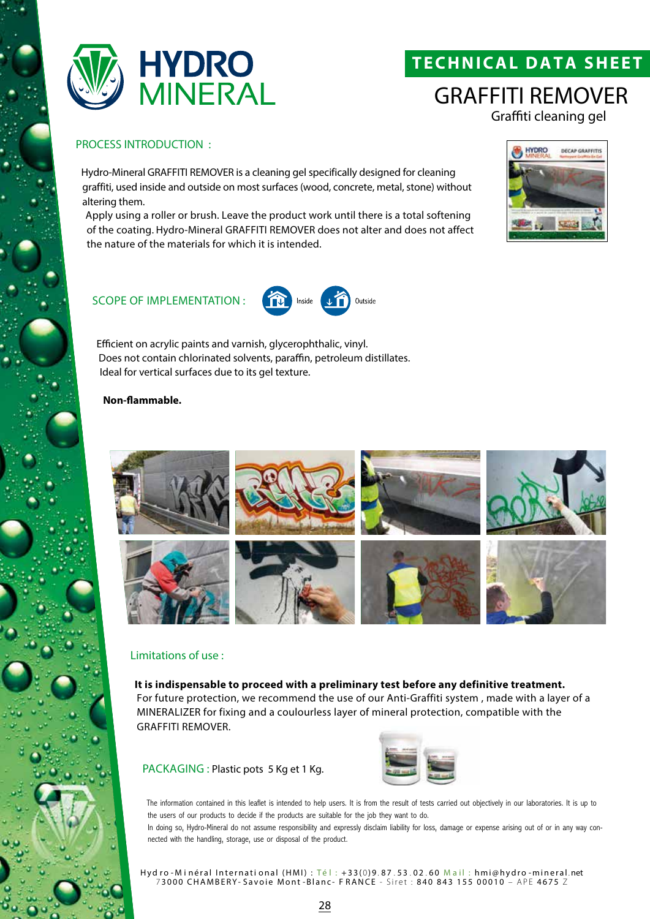

# **TECHNICAL DATA SHEET**

# GRAFFITI REMOVER Graffiti cleaning gel

### PROCESS INTRODUCTION :

Hydro-Mineral GRAFFITI REMOVER is a cleaning gel specifically designed for cleaning graffiti, used inside and outside on most surfaces (wood, concrete, metal, stone) without altering them.

Apply using a roller or brush. Leave the product work until there is a total softening of the coating. Hydro-Mineral GRAFFITI REMOVER does not alter and does not affect the nature of the materials for which it is intended.

Inside



### SCOPE OF IMPLEMENTATION :

Efficient on acrylic paints and varnish, glycerophthalic, vinyl. Does not contain chlorinated solvents, paraffin, petroleum distillates. Ideal for vertical surfaces due to its gel texture.

### **Non-flammable.**



Outside

#### Limitations of use :

#### **It is indispensable to proceed with a preliminary test before any definitive treatment.**

For future protection, we recommend the use of our Anti-Graffiti system , made with a layer of a MINERALIZER for fixing and a coulourless layer of mineral protection, compatible with the GRAFFITI REMOVER.

PACKAGING : Plastic pots 5 Kg et 1 Kg.



The information contained in this leaflet is intended to help users. It is from the result of tests carried out objectively in our laboratories. It is up to the users of our products to decide if the products are suitable for the job they want to do. In doing so, Hydro-Mineral do not assume responsibility and expressly disclaim liability for loss, damage or expense arising out of or in any way con-

nected with the handling, storage, use or disposal of the product.

Hyd ro - Minéral International (HMI) : Té l : +33(0)9.87.53.02.60 Mail : hmi@hydro - mineral.net 7 3000 CHAMBERY- Savoie Mont -Blanc- F RANCE - Siret : 840 843 155 00010 – APE 4675 Z